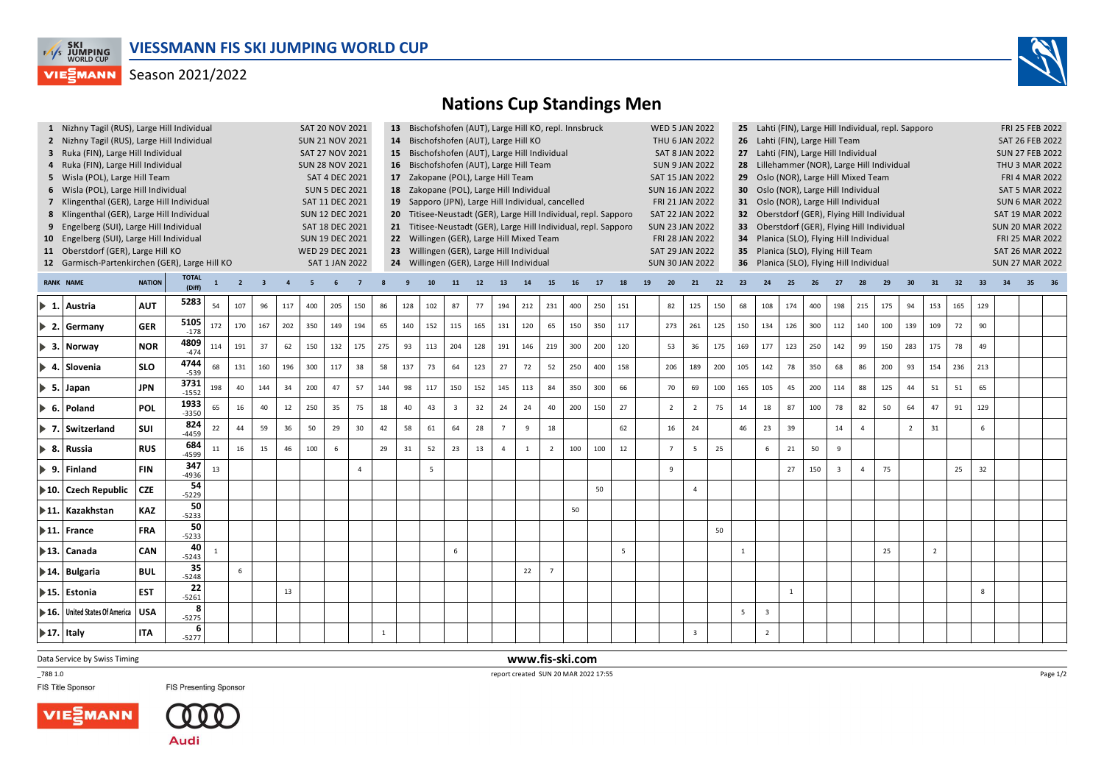

## Season 2021/2022



## **Nations Cup Standings Men**

|                                                                      |                                                                       | 1 Nizhny Tagil (RUS), Large Hill Individual<br><b>SAT 20 NOV 2021</b> |                |              |                |     |        |              |     |          |              | 13 Bischofshofen (AUT), Large Hill KO, repl. Innsbruck                                                                                   |     |                                                                 |     |          |     |                |     |     |                 |    | <b>WED 5 JAN 2022</b><br>25 Lahti (FIN), Large Hill Individual, repl. Sapporo |                |                       |                        |                                             |              |     |                |                |     |                |                | FRI 25 FEB 2022        |     |  |  |  |  |  |
|----------------------------------------------------------------------|-----------------------------------------------------------------------|-----------------------------------------------------------------------|----------------|--------------|----------------|-----|--------|--------------|-----|----------|--------------|------------------------------------------------------------------------------------------------------------------------------------------|-----|-----------------------------------------------------------------|-----|----------|-----|----------------|-----|-----|-----------------|----|-------------------------------------------------------------------------------|----------------|-----------------------|------------------------|---------------------------------------------|--------------|-----|----------------|----------------|-----|----------------|----------------|------------------------|-----|--|--|--|--|--|
|                                                                      | 2 Nizhny Tagil (RUS), Large Hill Individual<br><b>SUN 21 NOV 2021</b> |                                                                       |                |              |                |     |        |              |     |          |              | 14 Bischofshofen (AUT), Large Hill KO<br>THU 6 JAN 2022<br>26 Lahti (FIN), Large Hill Team                                               |     |                                                                 |     |          |     |                |     |     |                 |    |                                                                               |                |                       | SAT 26 FEB 2022        |                                             |              |     |                |                |     |                |                |                        |     |  |  |  |  |  |
|                                                                      | 3 Ruka (FIN), Large Hill Individual<br><b>SAT 27 NOV 2021</b>         |                                                                       |                |              |                |     |        |              |     |          |              | 15 Bischofshofen (AUT), Large Hill Individual<br><b>SAT 8 JAN 2022</b><br>27 Lahti (FIN), Large Hill Individual                          |     |                                                                 |     |          |     |                |     |     |                 |    |                                                                               |                |                       | <b>SUN 27 FEB 2022</b> |                                             |              |     |                |                |     |                |                |                        |     |  |  |  |  |  |
|                                                                      | 4 Ruka (FIN), Large Hill Individual<br><b>SUN 28 NOV 2021</b>         |                                                                       |                |              |                |     |        |              |     |          |              | 16 Bischofshofen (AUT), Large Hill Team<br><b>SUN 9 JAN 2022</b><br>28 Lillehammer (NOR), Large Hill Individual                          |     |                                                                 |     |          |     |                |     |     |                 |    |                                                                               |                |                       | <b>THU 3 MAR 2022</b>  |                                             |              |     |                |                |     |                |                |                        |     |  |  |  |  |  |
| SAT 4 DEC 2021<br>5 Wisla (POL), Large Hill Team                     |                                                                       |                                                                       |                |              |                |     |        |              |     |          |              | 17 Zakopane (POL), Large Hill Team<br>SAT 15 JAN 2022<br>29 Oslo (NOR), Large Hill Mixed Team                                            |     |                                                                 |     |          |     |                |     |     |                 |    |                                                                               |                | <b>FRI 4 MAR 2022</b> |                        |                                             |              |     |                |                |     |                |                |                        |     |  |  |  |  |  |
| <b>SUN 5 DEC 2021</b><br>6 Wisla (POL), Large Hill Individual        |                                                                       |                                                                       |                |              |                |     |        |              |     |          |              | 18 Zakopane (POL), Large Hill Individual<br>30 Oslo (NOR), Large Hill Individual<br><b>SUN 16 JAN 2022</b>                               |     |                                                                 |     |          |     |                |     |     |                 |    |                                                                               |                |                       | <b>SAT 5 MAR 2022</b>  |                                             |              |     |                |                |     |                |                |                        |     |  |  |  |  |  |
| 7 Klingenthal (GER), Large Hill Individual<br>SAT 11 DEC 2021        |                                                                       |                                                                       |                |              |                |     |        |              |     |          |              | 19 Sapporo (JPN), Large Hill Individual, cancelled<br>FRI 21 JAN 2022<br>31 Oslo (NOR), Large Hill Individual                            |     |                                                                 |     |          |     |                |     |     |                 |    |                                                                               |                |                       |                        | <b>SUN 6 MAR 2022</b>                       |              |     |                |                |     |                |                |                        |     |  |  |  |  |  |
| 8 Klingenthal (GER), Large Hill Individual<br><b>SUN 12 DEC 2021</b> |                                                                       |                                                                       |                |              |                |     |        |              |     |          |              |                                                                                                                                          |     | 20 Titisee-Neustadt (GER), Large Hill Individual, repl. Sapporo |     |          |     |                |     |     |                 |    | <b>SAT 22 JAN 2022</b>                                                        |                |                       |                        | 32 Oberstdorf (GER), Flying Hill Individual |              |     |                |                |     |                |                | <b>SAT 19 MAR 2022</b> |     |  |  |  |  |  |
| 9 Engelberg (SUI), Large Hill Individual<br>SAT 18 DEC 2021          |                                                                       |                                                                       |                |              |                |     |        |              |     |          |              | 21 Titisee-Neustadt (GER), Large Hill Individual, repl. Sapporo<br><b>SUN 23 JAN 2022</b><br>33 Oberstdorf (GER), Flying Hill Individual |     |                                                                 |     |          |     |                |     |     |                 |    |                                                                               |                |                       |                        | <b>SUN 20 MAR 2022</b>                      |              |     |                |                |     |                |                |                        |     |  |  |  |  |  |
| 10 Engelberg (SUI), Large Hill Individual<br><b>SUN 19 DEC 2021</b>  |                                                                       |                                                                       |                |              |                |     |        |              |     |          |              |                                                                                                                                          |     | 22 Willingen (GER), Large Hill Mixed Team                       |     |          |     |                |     |     |                 |    | FRI 28 JAN 2022                                                               |                |                       | 34                     | Planica (SLO), Flying Hill Individual       |              |     |                |                |     |                |                | FRI 25 MAR 2022        |     |  |  |  |  |  |
| 11 Oberstdorf (GER), Large Hill KO<br><b>WED 29 DEC 2021</b>         |                                                                       |                                                                       |                |              |                |     |        |              |     |          |              |                                                                                                                                          |     | 23 Willingen (GER), Large Hill Individual                       |     |          |     |                |     |     |                 |    | SAT 29 JAN 2022                                                               |                |                       |                        | 35 Planica (SLO), Flying Hill Team          |              |     |                |                |     |                |                | <b>SAT 26 MAR 2022</b> |     |  |  |  |  |  |
| 12 Garmisch-Partenkirchen (GER), Large Hill KO<br>SAT 1 JAN 2022     |                                                                       |                                                                       |                |              |                |     |        |              |     |          |              | 24 Willingen (GER), Large Hill Individual<br>36 Planica (SLO), Flying Hill Individual<br><b>SUN 30 JAN 2022</b>                          |     |                                                                 |     |          |     |                |     |     |                 |    |                                                                               |                |                       | <b>SUN 27 MAR 2022</b> |                                             |              |     |                |                |     |                |                |                        |     |  |  |  |  |  |
|                                                                      | <b>RANK NAME</b>                                                      | $\overline{\mathbf{3}}$                                               | $\overline{4}$ | 5            | 6              |     |        | $\mathbf{q}$ | 10  | 11       | 12           | 13                                                                                                                                       | 14  | 15                                                              | 16  | 17       | 18  | 19             | 20  | 21  | 22              | 23 | 24                                                                            | 25             |                       | 27                     | 28                                          | 29           | 30  | 31             | 32             | 33  | 34             | 35             |                        |     |  |  |  |  |  |
|                                                                      |                                                                       | <b>NATION</b>                                                         | (Diff)         | $\mathbf{1}$ | $\overline{2}$ |     |        |              |     |          |              |                                                                                                                                          |     |                                                                 |     |          |     |                |     |     |                 |    |                                                                               |                |                       |                        |                                             |              |     |                |                |     |                |                |                        |     |  |  |  |  |  |
|                                                                      | $\blacktriangleright$ 1. Austria                                      | <b>AUT</b>                                                            | 5283           | 54           | 107            | 96  | 117    | 400          | 205 | 150      | 86           | 128                                                                                                                                      | 102 | 87                                                              | 77  | 194      | 212 | 231            | 400 | 250 | 151             |    | 82                                                                            | 125            | 150                   | 68                     | 108                                         | 174          | 400 | 198            | 215            | 175 | 94             | 153            | 165                    | 129 |  |  |  |  |  |
|                                                                      |                                                                       |                                                                       |                |              |                |     |        |              |     |          |              |                                                                                                                                          |     |                                                                 |     |          |     |                |     |     |                 |    |                                                                               |                |                       |                        |                                             |              |     |                |                |     |                |                |                        |     |  |  |  |  |  |
|                                                                      | $\triangleright$ 2. Germany                                           | <b>GER</b>                                                            | 5105<br>$-178$ | 172          | 170            | 167 | 202    | 350          | 149 | 194      | 65           | 140                                                                                                                                      | 152 | 115                                                             | 165 | 131      | 120 | 65             | 150 | 350 | 117             |    | 273                                                                           | 261            | 125                   | 150                    | 134                                         | 126          | 300 | 112            | 140            | 100 | 139            | 109            | 72                     | 90  |  |  |  |  |  |
|                                                                      | $\triangleright$ 3. Norway                                            | <b>NOR</b>                                                            | 4809           | 114          | 191            | 37  | 62     | 150          | 132 | 175      | 275          | 93                                                                                                                                       | 113 | 204                                                             | 128 | 191      | 146 | 219            | 300 | 200 | 120             |    | 53                                                                            | 36             | 175                   | 169                    | 177                                         | 123          | 250 | 142            | 99             | 150 | 283            | 175            | 78                     | 49  |  |  |  |  |  |
|                                                                      |                                                                       |                                                                       | $-474$         |              |                |     |        |              |     |          |              |                                                                                                                                          |     |                                                                 |     |          |     |                |     |     |                 |    |                                                                               |                |                       |                        |                                             |              |     |                |                |     |                |                |                        |     |  |  |  |  |  |
|                                                                      | $\blacktriangleright$ 4. Slovenia                                     | <b>SLO</b>                                                            | 4744           | 68           | 131            | 160 | 196    | 300          | 117 | 38       | 58           | 137                                                                                                                                      | 73  | 64                                                              | 123 | 27       | 72  | 52             | 250 | 400 | 158             |    | 206                                                                           | 189            | 200                   | 105                    | 142                                         | 78           | 350 | 68             | 86             | 200 | 93             | 154            | 236                    | 213 |  |  |  |  |  |
|                                                                      |                                                                       |                                                                       | $-539$<br>3731 |              |                |     |        |              |     |          |              |                                                                                                                                          |     |                                                                 |     |          |     |                |     |     |                 |    |                                                                               |                |                       |                        |                                             |              |     |                |                |     |                |                |                        |     |  |  |  |  |  |
|                                                                      | $\triangleright$ 5. Japan                                             | <b>JPN</b>                                                            | $-1552$        | 198          | 40             | 144 | 34     | 200          | 47  | 57       | 144          | 98                                                                                                                                       | 117 | 150                                                             | 152 | 145      | 113 | 84             | 350 | 300 | 66              |    | 70                                                                            | 69             | 100                   | 165                    | 105                                         | 45           | 200 | 114            | 88             | 125 | 44             | 51             | 51                     | 65  |  |  |  |  |  |
|                                                                      | $\triangleright$ 6. Poland                                            | POL                                                                   | 1933           | 65           | 16             | 40  | $12\,$ | 250          | 35  | 75       | 18           | 40                                                                                                                                       | 43  | $\overline{3}$                                                  | 32  | 24       | 24  | 40             | 200 | 150 | 27              |    | $\overline{2}$                                                                | $\overline{2}$ | 75                    | 14                     | 18                                          | 87           | 100 | 78             | 82             | 50  | 64             | 47             | 91                     | 129 |  |  |  |  |  |
|                                                                      |                                                                       |                                                                       | $-3350$        |              |                |     |        |              |     |          |              |                                                                                                                                          |     |                                                                 |     |          |     |                |     |     |                 |    |                                                                               |                |                       |                        |                                             |              |     |                |                |     |                |                |                        |     |  |  |  |  |  |
|                                                                      | $\triangleright$ 7. Switzerland                                       | SUI                                                                   | 824<br>$-4459$ | 22           | 44             | 59  | 36     | 50           | 29  | 30       | 42           | 58                                                                                                                                       | 61  | 64                                                              | 28  |          | 9   | 18             |     |     | 62              |    | 16                                                                            | 24             |                       | 46                     | 23                                          | 39           |     | 14             | $\Delta$       |     | $\overline{2}$ | 31             |                        | 6   |  |  |  |  |  |
|                                                                      |                                                                       |                                                                       | 684            |              |                | 15  | 46     |              |     |          |              |                                                                                                                                          |     | 23                                                              | 13  | $\Delta$ |     |                |     |     | 12              |    | $\overline{7}$                                                                | $\overline{5}$ |                       |                        |                                             |              |     | $\overline{9}$ |                |     |                |                |                        |     |  |  |  |  |  |
|                                                                      | 8. Russia                                                             | <b>RUS</b>                                                            | $-4599$        | $11\,$       | 16             |     |        | 100          | 6   |          | 29           | 31                                                                                                                                       | 52  |                                                                 |     |          | 1   | $\overline{2}$ | 100 | 100 |                 |    |                                                                               |                | 25                    |                        | 6                                           | 21           | 50  |                |                |     |                |                |                        |     |  |  |  |  |  |
|                                                                      | 9. Finland                                                            | <b>FIN</b>                                                            | 347            | 13           |                |     |        |              |     | $\Delta$ |              |                                                                                                                                          | 5   |                                                                 |     |          |     |                |     |     |                 |    | 9                                                                             |                |                       |                        |                                             | 27           | 150 | $\overline{3}$ | $\overline{a}$ | 75  |                |                | 25                     | 32  |  |  |  |  |  |
|                                                                      |                                                                       |                                                                       | $-4936$<br>54  |              |                |     |        |              |     |          |              |                                                                                                                                          |     |                                                                 |     |          |     |                |     |     |                 |    |                                                                               |                |                       |                        |                                             |              |     |                |                |     |                |                |                        |     |  |  |  |  |  |
|                                                                      | $\blacktriangleright$ 10. $\blacktriangleright$ Czech Republic        | <b>CZE</b>                                                            | $-5229$        |              |                |     |        |              |     |          |              |                                                                                                                                          |     |                                                                 |     |          |     |                |     | 50  |                 |    |                                                                               | $\overline{4}$ |                       |                        |                                             |              |     |                |                |     |                |                |                        |     |  |  |  |  |  |
|                                                                      | 11. Kazakhstan                                                        | <b>KAZ</b>                                                            | 50             |              |                |     |        |              |     |          |              |                                                                                                                                          |     |                                                                 |     |          |     |                | 50  |     |                 |    |                                                                               |                |                       |                        |                                             |              |     |                |                |     |                |                |                        |     |  |  |  |  |  |
|                                                                      |                                                                       |                                                                       | $-5233$        |              |                |     |        |              |     |          |              |                                                                                                                                          |     |                                                                 |     |          |     |                |     |     |                 |    |                                                                               |                |                       |                        |                                             |              |     |                |                |     |                |                |                        |     |  |  |  |  |  |
|                                                                      | $\blacktriangleright$ 11. France                                      | <b>FRA</b>                                                            | 50<br>$-5233$  |              |                |     |        |              |     |          |              |                                                                                                                                          |     |                                                                 |     |          |     |                |     |     |                 |    |                                                                               |                | 50                    |                        |                                             |              |     |                |                |     |                |                |                        |     |  |  |  |  |  |
|                                                                      |                                                                       |                                                                       | 40             |              |                |     |        |              |     |          |              |                                                                                                                                          |     |                                                                 |     |          |     |                |     |     |                 |    |                                                                               |                |                       |                        |                                             |              |     |                |                |     |                |                |                        |     |  |  |  |  |  |
|                                                                      | $\blacktriangleright$ 13.   Canada                                    | CAN                                                                   | $-5243$        | $\mathbf{1}$ |                |     |        |              |     |          |              |                                                                                                                                          |     | 6                                                               |     |          |     |                |     |     | $5\overline{5}$ |    |                                                                               |                |                       | $\mathbf{1}$           |                                             |              |     |                |                | 25  |                | $\overline{2}$ |                        |     |  |  |  |  |  |
|                                                                      | ▶ 14.   Bulgaria                                                      | <b>BUL</b>                                                            | 35             |              | 6              |     |        |              |     |          |              |                                                                                                                                          |     |                                                                 |     |          | 22  | $\overline{7}$ |     |     |                 |    |                                                                               |                |                       |                        |                                             |              |     |                |                |     |                |                |                        |     |  |  |  |  |  |
|                                                                      |                                                                       |                                                                       | $-5248$        |              |                |     |        |              |     |          |              |                                                                                                                                          |     |                                                                 |     |          |     |                |     |     |                 |    |                                                                               |                |                       |                        |                                             |              |     |                |                |     |                |                |                        |     |  |  |  |  |  |
|                                                                      | ▶ 15. Estonia                                                         | <b>EST</b>                                                            | 22<br>$-5261$  |              |                |     | 13     |              |     |          |              |                                                                                                                                          |     |                                                                 |     |          |     |                |     |     |                 |    |                                                                               |                |                       |                        |                                             | <sup>1</sup> |     |                |                |     |                |                |                        | 8   |  |  |  |  |  |
|                                                                      |                                                                       |                                                                       | 8 <sup>1</sup> |              |                |     |        |              |     |          |              |                                                                                                                                          |     |                                                                 |     |          |     |                |     |     |                 |    |                                                                               |                |                       |                        |                                             |              |     |                |                |     |                |                |                        |     |  |  |  |  |  |
| $\blacktriangleright$ 16.                                            | <b>United States Of America</b>                                       | <b>USA</b>                                                            | $-5275$        |              |                |     |        |              |     |          |              |                                                                                                                                          |     |                                                                 |     |          |     |                |     |     |                 |    |                                                                               |                |                       | 5                      | $\overline{\mathbf{3}}$                     |              |     |                |                |     |                |                |                        |     |  |  |  |  |  |
|                                                                      | $\blacktriangleright$ 17. Italy                                       | <b>ITA</b>                                                            | $6 \mid$       |              |                |     |        |              |     |          | $\mathbf{1}$ |                                                                                                                                          |     |                                                                 |     |          |     |                |     |     |                 |    |                                                                               | $\overline{3}$ |                       |                        | $\overline{2}$                              |              |     |                |                |     |                |                |                        |     |  |  |  |  |  |
|                                                                      |                                                                       |                                                                       | $-5277$        |              |                |     |        |              |     |          |              |                                                                                                                                          |     |                                                                 |     |          |     |                |     |     |                 |    |                                                                               |                |                       |                        |                                             |              |     |                |                |     |                |                |                        |     |  |  |  |  |  |

Data Service by Swiss Timing

\_78B 1.0

FIS Title Sponsor





**FIS Presenting Sponsor** 

 **www.fis-ski.com**report created SUN 20 MAR 2022 17:55